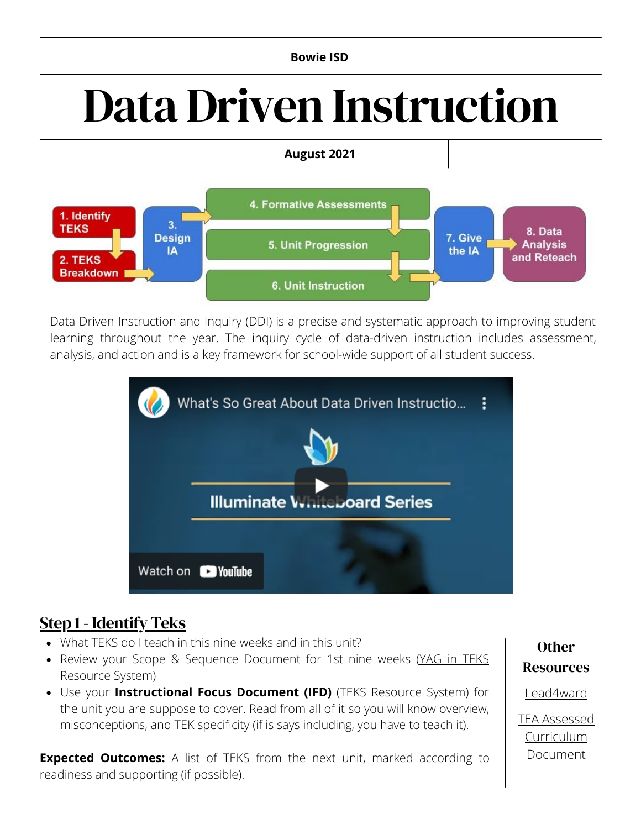#### **Bowie ISD**

# Data Driven Instruction



Data Driven Instruction and Inquiry (DDI) is a precise and systematic approach to improving student learning throughout the year. The inquiry cycle of data-driven instruction includes [assessment,](https://sites.google.com/esc9.net/ddi-module-3-action/home) analysis, and action and is a key framework for school-wide support of all student success.



## Step 1 - [Identify](https://sites.google.com/esc9.net/ddi-module-3-action/action-steps/step-1-identify-teks) Teks

- What TEKS do I teach in this nine weeks and in this unit?
- Review your Scope & Sequence [Document](https://teksresourcesystem.net/) for 1st nine weeks (YAG in TEKS Resource System)
- Use your **Instructional Focus Document (IFD)** (TEKS Resource System) for the unit you are suppose to cover. Read from all of it so you will know overview, misconceptions, and TEK specificity (if is says including, you have to teach it).

**Expected Outcomes:** A list of TEKS from the next unit, marked according to readiness and supporting (if possible).

**Other** Resources

[Lead4ward](https://lead4ward.com/)

TEA Assessed [Curriculum](https://tea.texas.gov/academics/subject-areas/english-language-arts-and-reading/resources-for-the-revised-english-and-spanish-language-arts-and-reading-teks) Document